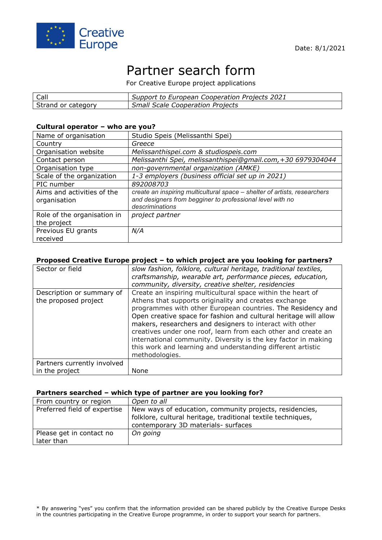

# Partner search form

For Creative Europe project applications

| Call               | Support to European Cooperation Projects 2021 |
|--------------------|-----------------------------------------------|
| Strand or category | <b>Small Scale Cooperation Projects</b>       |

#### **Cultural operator – who are you?**

| Name of organisation                       | Studio Speis (Melissanthi Spei)                                                                                                                           |
|--------------------------------------------|-----------------------------------------------------------------------------------------------------------------------------------------------------------|
| Country                                    | Greece                                                                                                                                                    |
| Organisation website                       | Melissanthispei.com & studiospeis.com                                                                                                                     |
| Contact person                             | Melissanthi Spei, melissanthispei@gmail.com, +30 6979304044                                                                                               |
| Organisation type                          | non-governmental organization (AMKE)                                                                                                                      |
| Scale of the organization                  | 1-3 employers (business official set up in 2021)                                                                                                          |
| PIC number                                 | 892008703                                                                                                                                                 |
| Aims and activities of the<br>organisation | create an inspiring multicultural space - shelter of artists, researchers<br>and designers from begginer to professional level with no<br>descriminations |
| Role of the organisation in<br>the project | project partner                                                                                                                                           |
| Previous EU grants<br>received             | N/A                                                                                                                                                       |

## **Proposed Creative Europe project – to which project are you looking for partners?**

| Sector or field             | slow fashion, folklore, cultural heritage, traditional textiles, |
|-----------------------------|------------------------------------------------------------------|
|                             | craftsmanship, wearable art, performance pieces, education,      |
|                             | community, diversity, creative shelter, residencies              |
| Description or summary of   | Create an inspiring multicultural space within the heart of      |
| the proposed project        | Athens that supports originality and creates exchange            |
|                             | programmes with other European countries. The Residency and      |
|                             | Open creative space for fashion and cultural heritage will allow |
|                             | makers, researchers and designers to interact with other         |
|                             | creatives under one roof, learn from each other and create an    |
|                             | international community. Diversity is the key factor in making   |
|                             | this work and learning and understanding different artistic      |
|                             | methodologies.                                                   |
| Partners currently involved |                                                                  |
| in the project              | None                                                             |

#### **Partners searched – which type of partner are you looking for?**

| From country or region                 | Open to all                                                                                                                                                    |
|----------------------------------------|----------------------------------------------------------------------------------------------------------------------------------------------------------------|
| Preferred field of expertise           | New ways of education, community projects, residencies,<br>folklore, cultural heritage, traditional textile techniques,<br>contemporary 3D materials- surfaces |
| Please get in contact no<br>later than | On going                                                                                                                                                       |